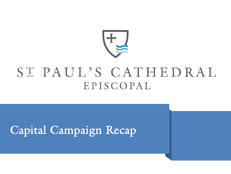

# ST PAUL'S CATHEDRAL EPISCOPAL

## Capital Campaign Recap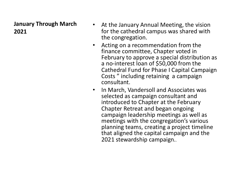### **January Through March 2021**

- At the January Annual Meeting, the vision for the cathedral campus was shared with the congregation.
- Acting on a recommendation from the finance committee, Chapter voted in February to approve a special distribution as a no-interest loan of \$50,000 from the Cathedral Fund for Phase I Capital Campaign Costs " including retaining a campaign consultant.
- In March, Vandersoll and Associates was selected as campaign consultant and introduced to Chapter at the February Chapter Retreat and began ongoing campaign leadership meetings as well as meetings with the congregation's various planning teams, creating a project timeline that aligned the capital campaign and the 2021 stewardship campaign..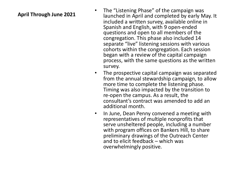- **April Through June 2021** The "Listening Phase" of the campaign was<br>April Through June 2021<br>Alunched in April and completed by early M launched in April and completed by early May. It included a written survey, available online in Spanish and English, with 9 open-ended questions and open to all members of the congregation. This phase also included 14 separate "live" listening sessions with various cohorts within the congregation. Each session began with a review of the capital campaign process, with the same questions as the written survey.
	- The prospective capital campaign was separated from the annual stewardship campaign, to allow more time to complete the listening phase. Timing was also impacted by the transition to re-open the campus. As a result, the consultant's contract was amended to add an additional month.
	- In June, Dean Penny convened a meeting with representatives of multiple nonprofits that serve unsheltered people, including a number with program offices on Bankers Hill, to share preliminary drawings of the Outreach Center and to elicit feedback – which was overwhelmingly positive.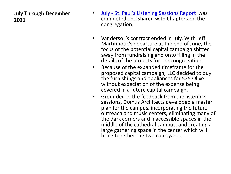### **July Through December 2021**

- **July St. Paul's Listening Sessions Report** completed and shared with Chapter and congregation.
- Vandersoll's contract ended in July. With Martinhouk's departure at the end of Jun focus of the potential capital campaign shifted away from fundraising and onto filling in details of the projects for the congregation
- Because of the expanded timeframe for proposed capital campaign, LLC decided the furnishings and appliances for 525 O without expectation of the expense being covered in a future capital campaign.
- Grounded in the feedback from the lister sessions, Domus Architects developed a plan for the campus, incorporating the fundoutreach and music centers, eliminating the dark corners and inaccessible spaces middle of the cathedral campus, and cre large gathering space in the center which bring together the two courtyards.